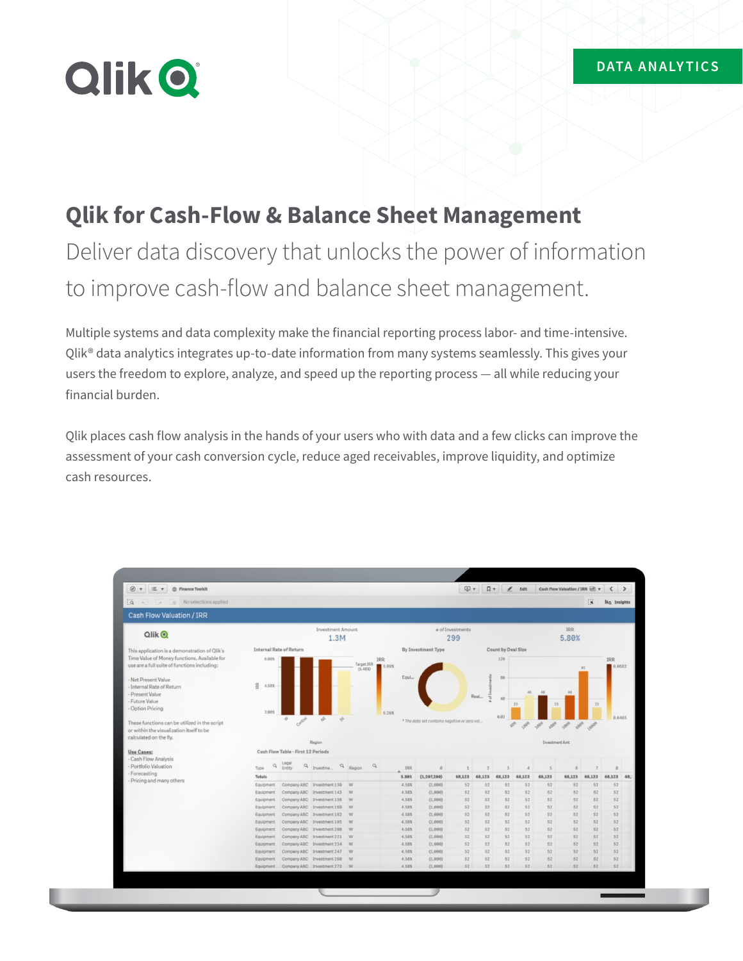# **Qlik O**

### **Qlik for Cash-Flow & Balance Sheet Management**

## Deliver data discovery that unlocks the power of information to improve cash-flow and balance sheet management.

Multiple systems and data complexity make the financial reporting process labor- and time-intensive. Qlik® data analytics integrates up-to-date information from many systems seamlessly. This gives your users the freedom to explore, analyze, and speed up the reporting process — all while reducing your financial burden.

Qlik places cash flow analysis in the hands of your users who with data and a few clicks can improve the assessment of your cash conversion cycle, reduce aged receivables, improve liquidity, and optimize cash resources.